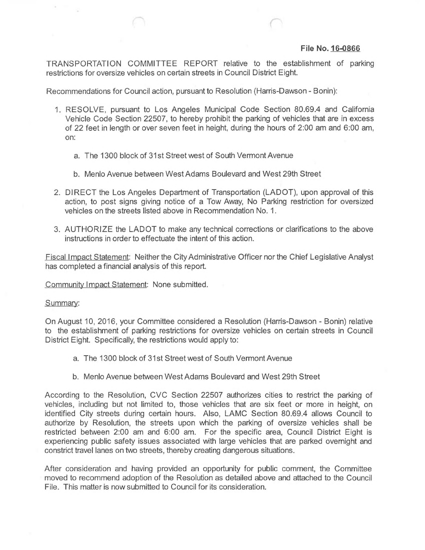## **File No. 16-0866**

TRANSPORTATION COMMITTEE REPORT relative to the establishment of parking restrictions for oversize vehicles on certain streets in Council District Eight.

Recommendations for Council action, pursuant to Resolution (Harris-Dawson - Bonin):

- 1. RESOLVE, pursuant to Los Angeles Municipal Code Section 80.69.4 and California Vehicle Code Section 22507, to hereby prohibit the parking of vehicles that are in excess of 22 feet in length or over seven feet in height, during the hours of 2:00 am and 6:00 am, on:
	- a. The 1300 block of 31st Street west of South Vermont Avenue
	- b. Menlo Avenue between WestAdams Boulevard and West 29th Street
- 2. DIRECT the Los Angeles Department of Transportation (LADOT), upon approval of this action, to post signs giving notice of a Tow Away, No Parking restriction for oversized vehicles on the streets listed above in Recommendation No. 1.
- 3. AUTHORIZE the LADOT to make any technical corrections or clarifications to the above instructions in order to effectuate the intent of this action.

Fiscal Impact Statement: Neither the CityAdministrative Officer nor the Chief Legislative Analyst has completed a financial analysis of this report.

Community Impact Statement: None submitted.

## Summary:

S.

On August 10, 2016, your Committee considered a Resolution (Harris-Dawson - Bonin) relative to the establishment of parking restrictions for oversize vehicles on certain streets in Council District Eight. Specifically, the restrictions would apply to:

- a. The 1300 block of 31st Street west of South Vermont Avenue
- b. Menlo Avenue between West Adams Boulevard and West 29th Street

According to the Resolution, CVC Section 22507 authorizes cities to restrict the parking of vehicles, including but not limited to, those vehicles that are six feet or more in height, on identified City streets during certain hours. Also, LAMC Section 80.69.4 allows Council to authorize by Resolution, the streets upon which the parking of oversize vehicles shall be restricted between 2:00 am and 6:00 am. For the specific area, Council District Eight is experiencing public safety issues associated with large vehicles that are parked overnight and constrict travel lanes on two streets, thereby creating dangerous situations.

After consideration and having provided an opportunity for public comment, the Committee moved to recommend adoption of the Resolution as detailed above and attached to the Council File. This matter is now submitted to Council for its consideration.